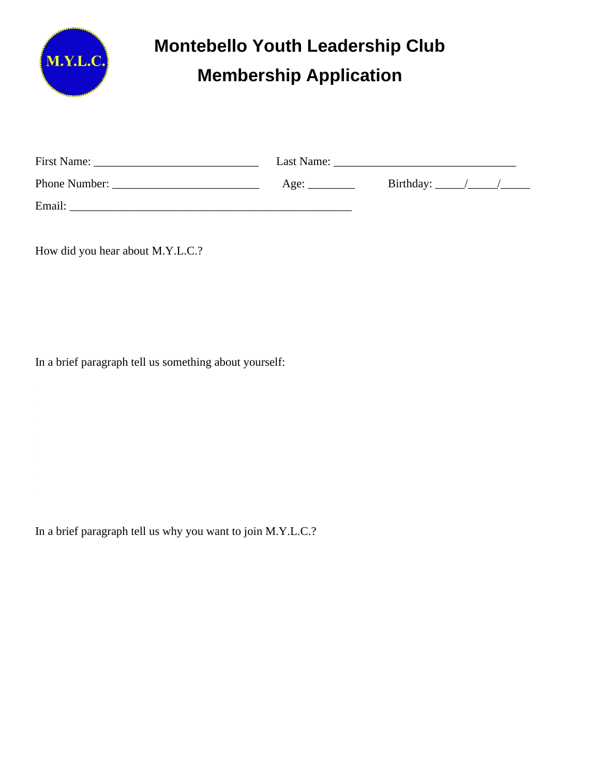

## **Montebello Youth Leadership Club Membership Application**

| <b>First Name:</b> | Last Name: |           |  |  |  |  |
|--------------------|------------|-----------|--|--|--|--|
| Phone Number:      | Age:       | Birthday: |  |  |  |  |
| Email:             |            |           |  |  |  |  |

How did you hear about M.Y.L.C.?

In a brief paragraph tell us something about yourself:

In a brief paragraph tell us why you want to join M.Y.L.C.?